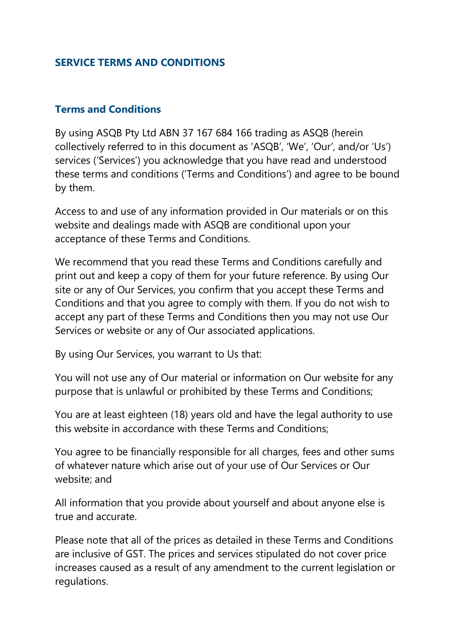#### **SERVICE TERMS AND CONDITIONS**

#### **Terms and Conditions**

By using ASQB Pty Ltd ABN 37 167 684 166 trading as ASQB (herein collectively referred to in this document as 'ASQB', 'We', 'Our', and/or 'Us') services ('Services') you acknowledge that you have read and understood these terms and conditions ('Terms and Conditions') and agree to be bound by them.

Access to and use of any information provided in Our materials or on this website and dealings made with ASQB are conditional upon your acceptance of these Terms and Conditions.

We recommend that you read these Terms and Conditions carefully and print out and keep a copy of them for your future reference. By using Our site or any of Our Services, you confirm that you accept these Terms and Conditions and that you agree to comply with them. If you do not wish to accept any part of these Terms and Conditions then you may not use Our Services or website or any of Our associated applications.

By using Our Services, you warrant to Us that:

You will not use any of Our material or information on Our website for any purpose that is unlawful or prohibited by these Terms and Conditions;

You are at least eighteen (18) years old and have the legal authority to use this website in accordance with these Terms and Conditions;

You agree to be financially responsible for all charges, fees and other sums of whatever nature which arise out of your use of Our Services or Our website; and

All information that you provide about yourself and about anyone else is true and accurate.

Please note that all of the prices as detailed in these Terms and Conditions are inclusive of GST. The prices and services stipulated do not cover price increases caused as a result of any amendment to the current legislation or regulations.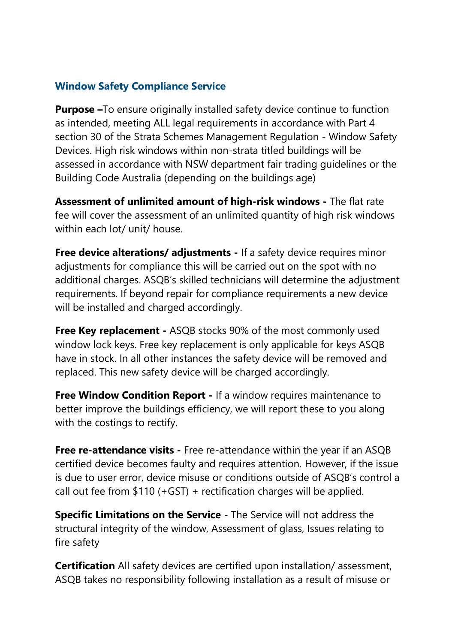#### **Window Safety Compliance Service**

**Purpose –**To ensure originally installed safety device continue to function as intended, meeting ALL legal requirements in accordance with Part 4 section 30 of the Strata Schemes Management Regulation - Window Safety Devices. High risk windows within non-strata titled buildings will be assessed in accordance with NSW department fair trading guidelines or the Building Code Australia (depending on the buildings age)

**Assessment of unlimited amount of high-risk windows -** The flat rate fee will cover the assessment of an unlimited quantity of high risk windows within each lot/ unit/ house.

**Free device alterations/ adjustments -** If a safety device requires minor adjustments for compliance this will be carried out on the spot with no additional charges. ASQB's skilled technicians will determine the adjustment requirements. If beyond repair for compliance requirements a new device will be installed and charged accordingly.

**Free Key replacement -** ASQB stocks 90% of the most commonly used window lock keys. Free key replacement is only applicable for keys ASQB have in stock. In all other instances the safety device will be removed and replaced. This new safety device will be charged accordingly.

**Free Window Condition Report** - If a window requires maintenance to better improve the buildings efficiency, we will report these to you along with the costings to rectify.

**Free re-attendance visits -** Free re-attendance within the year if an ASQB certified device becomes faulty and requires attention. However, if the issue is due to user error, device misuse or conditions outside of ASQB's control a call out fee from \$110 (+GST) + rectification charges will be applied.

**Specific Limitations on the Service -** The Service will not address the structural integrity of the window, Assessment of glass, Issues relating to fire safety

**Certification** All safety devices are certified upon installation/assessment, ASQB takes no responsibility following installation as a result of misuse or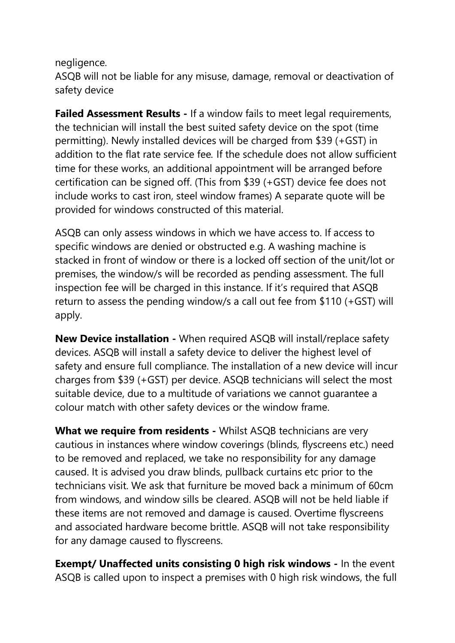negligence.

ASQB will not be liable for any misuse, damage, removal or deactivation of safety device

**Failed Assessment Results -** If a window fails to meet legal requirements, the technician will install the best suited safety device on the spot (time permitting). Newly installed devices will be charged from \$39 (+GST) in addition to the flat rate service fee*.* If the schedule does not allow sufficient time for these works, an additional appointment will be arranged before certification can be signed off. (This from \$39 (+GST) device fee does not include works to cast iron, steel window frames) A separate quote will be provided for windows constructed of this material.

ASQB can only assess windows in which we have access to. If access to specific windows are denied or obstructed e.g. A washing machine is stacked in front of window or there is a locked off section of the unit/lot or premises, the window/s will be recorded as pending assessment. The full inspection fee will be charged in this instance. If it's required that ASQB return to assess the pending window/s a call out fee from \$110 (+GST) will apply.

**New Device installation -** When required ASQB will install/replace safety devices. ASQB will install a safety device to deliver the highest level of safety and ensure full compliance. The installation of a new device will incur charges from \$39 (+GST) per device. ASQB technicians will select the most suitable device, due to a multitude of variations we cannot guarantee a colour match with other safety devices or the window frame.

**What we require from residents -** Whilst ASQB technicians are very cautious in instances where window coverings (blinds, flyscreens etc.) need to be removed and replaced, we take no responsibility for any damage caused. It is advised you draw blinds, pullback curtains etc prior to the technicians visit. We ask that furniture be moved back a minimum of 60cm from windows, and window sills be cleared. ASQB will not be held liable if these items are not removed and damage is caused. Overtime flyscreens and associated hardware become brittle. ASQB will not take responsibility for any damage caused to flyscreens.

**Exempt/ Unaffected units consisting 0 high risk windows -** In the event ASQB is called upon to inspect a premises with 0 high risk windows, the full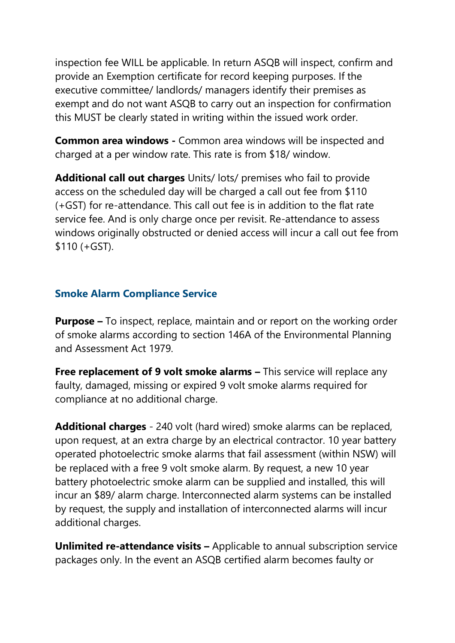inspection fee WILL be applicable. In return ASQB will inspect, confirm and provide an Exemption certificate for record keeping purposes. If the executive committee/ landlords/ managers identify their premises as exempt and do not want ASQB to carry out an inspection for confirmation this MUST be clearly stated in writing within the issued work order.

**Common area windows -** Common area windows will be inspected and charged at a per window rate. This rate is from \$18/ window.

**Additional call out charges** Units/ lots/ premises who fail to provide access on the scheduled day will be charged a call out fee from \$110 (+GST) for re-attendance. This call out fee is in addition to the flat rate service fee. And is only charge once per revisit. Re-attendance to assess windows originally obstructed or denied access will incur a call out fee from \$110 (+GST).

#### **Smoke Alarm Compliance Service**

**Purpose –** To inspect, replace, maintain and or report on the working order of smoke alarms according to section 146A of the Environmental Planning and Assessment Act 1979.

**Free replacement of 9 volt smoke alarms - This service will replace any** faulty, damaged, missing or expired 9 volt smoke alarms required for compliance at no additional charge.

**Additional charges** - 240 volt (hard wired) smoke alarms can be replaced, upon request, at an extra charge by an electrical contractor. 10 year battery operated photoelectric smoke alarms that fail assessment (within NSW) will be replaced with a free 9 volt smoke alarm. By request, a new 10 year battery photoelectric smoke alarm can be supplied and installed, this will incur an \$89/ alarm charge. Interconnected alarm systems can be installed by request, the supply and installation of interconnected alarms will incur additional charges.

**Unlimited re-attendance visits –** Applicable to annual subscription service packages only. In the event an ASQB certified alarm becomes faulty or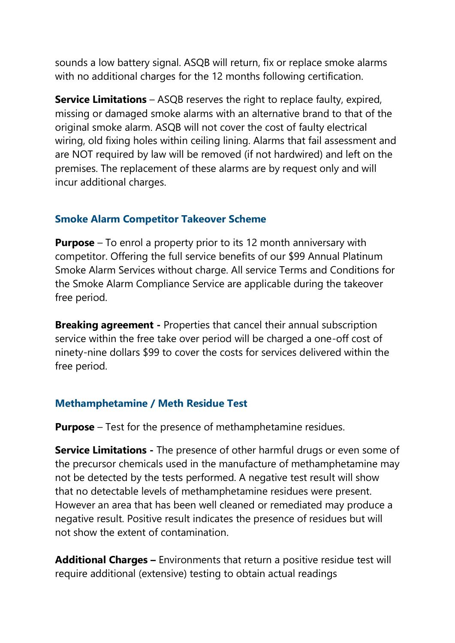sounds a low battery signal. ASQB will return, fix or replace smoke alarms with no additional charges for the 12 months following certification.

**Service Limitations** – ASQB reserves the right to replace faulty, expired, missing or damaged smoke alarms with an alternative brand to that of the original smoke alarm. ASQB will not cover the cost of faulty electrical wiring, old fixing holes within ceiling lining. Alarms that fail assessment and are NOT required by law will be removed (if not hardwired) and left on the premises. The replacement of these alarms are by request only and will incur additional charges.

### **Smoke Alarm Competitor Takeover Scheme**

**Purpose** – To enrol a property prior to its 12 month anniversary with competitor. Offering the full service benefits of our \$99 Annual Platinum Smoke Alarm Services without charge. All service Terms and Conditions for the Smoke Alarm Compliance Service are applicable during the takeover free period.

**Breaking agreement -** Properties that cancel their annual subscription service within the free take over period will be charged a one-off cost of ninety-nine dollars \$99 to cover the costs for services delivered within the free period.

### **Methamphetamine / Meth Residue Test**

**Purpose** – Test for the presence of methamphetamine residues.

**Service Limitations -** The presence of other harmful drugs or even some of the precursor chemicals used in the manufacture of methamphetamine may not be detected by the tests performed. A negative test result will show that no detectable levels of methamphetamine residues were present. However an area that has been well cleaned or remediated may produce a negative result. Positive result indicates the presence of residues but will not show the extent of contamination.

**Additional Charges –** Environments that return a positive residue test will require additional (extensive) testing to obtain actual readings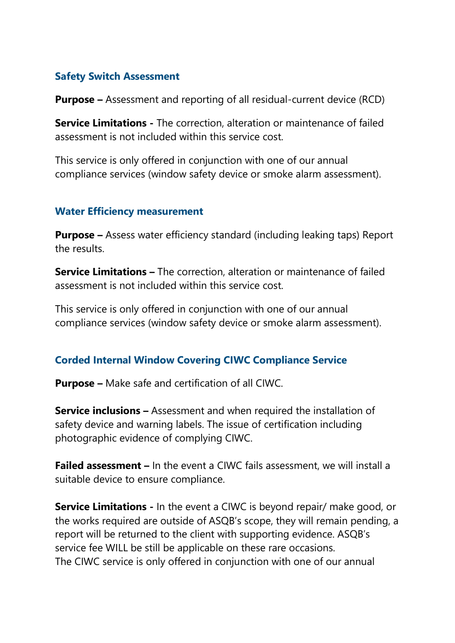### **Safety Switch Assessment**

**Purpose –** Assessment and reporting of all residual-current device (RCD)

**Service Limitations -** The correction, alteration or maintenance of failed assessment is not included within this service cost.

This service is only offered in conjunction with one of our annual compliance services (window safety device or smoke alarm assessment).

#### **Water Efficiency measurement**

**Purpose –** Assess water efficiency standard (including leaking taps) Report the results.

**Service Limitations –** The correction, alteration or maintenance of failed assessment is not included within this service cost.

This service is only offered in conjunction with one of our annual compliance services (window safety device or smoke alarm assessment).

### **Corded Internal Window Covering CIWC Compliance Service**

**Purpose –** Make safe and certification of all CIWC.

**Service inclusions –** Assessment and when required the installation of safety device and warning labels. The issue of certification including photographic evidence of complying CIWC.

**Failed assessment –** In the event a CIWC fails assessment, we will install a suitable device to ensure compliance.

**Service Limitations -** In the event a CIWC is beyond repair/ make good, or the works required are outside of ASQB's scope, they will remain pending, a report will be returned to the client with supporting evidence. ASQB's service fee WILL be still be applicable on these rare occasions. The CIWC service is only offered in conjunction with one of our annual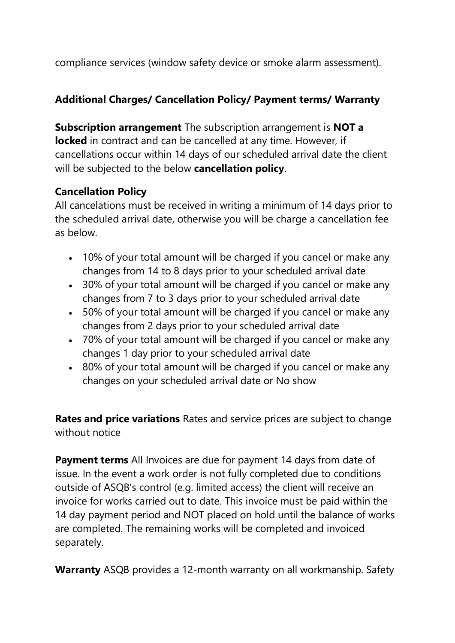compliance services (window safety device or smoke alarm assessment).

### **Additional Charges/ Cancellation Policy/ Payment terms/ Warranty**

**Subscription arrangement** The subscription arrangement is **NOT a locked** in contract and can be cancelled at any time. However, if cancellations occur within 14 days of our scheduled arrival date the client will be subjected to the below **cancellation policy**.

### **Cancellation Policy**

All cancelations must be received in writing a minimum of 14 days prior to the scheduled arrival date, otherwise you will be charge a cancellation fee as below.

- 10% of your total amount will be charged if you cancel or make any changes from 14 to 8 days prior to your scheduled arrival date
- 30% of your total amount will be charged if you cancel or make any changes from 7 to 3 days prior to your scheduled arrival date
- 50% of your total amount will be charged if you cancel or make any changes from 2 days prior to your scheduled arrival date
- 70% of your total amount will be charged if you cancel or make any changes 1 day prior to your scheduled arrival date
- 80% of your total amount will be charged if you cancel or make any changes on your scheduled arrival date or No show

**Rates and price variations** Rates and service prices are subject to change without notice

**Payment terms** All Invoices are due for payment 14 days from date of issue. In the event a work order is not fully completed due to conditions outside of ASQB's control (e.g. limited access) the client will receive an invoice for works carried out to date. This invoice must be paid within the 14 day payment period and NOT placed on hold until the balance of works are completed. The remaining works will be completed and invoiced separately.

**Warranty** ASQB provides a 12-month warranty on all workmanship. Safety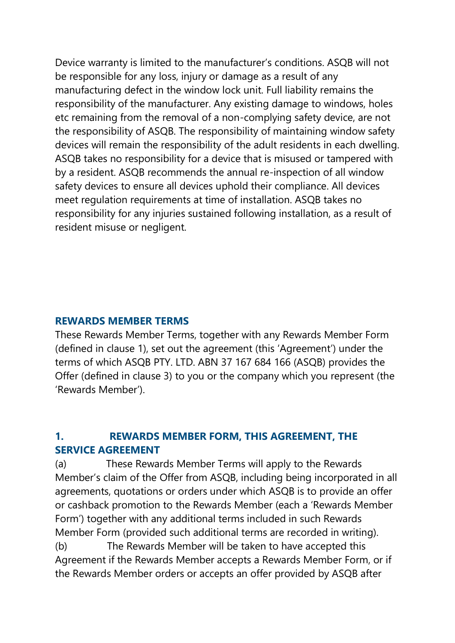Device warranty is limited to the manufacturer's conditions. ASQB will not be responsible for any loss, injury or damage as a result of any manufacturing defect in the window lock unit. Full liability remains the responsibility of the manufacturer. Any existing damage to windows, holes etc remaining from the removal of a non-complying safety device, are not the responsibility of ASQB. The responsibility of maintaining window safety devices will remain the responsibility of the adult residents in each dwelling. ASQB takes no responsibility for a device that is misused or tampered with by a resident. ASQB recommends the annual re-inspection of all window safety devices to ensure all devices uphold their compliance. All devices meet regulation requirements at time of installation. ASQB takes no responsibility for any injuries sustained following installation, as a result of resident misuse or negligent.

#### **REWARDS MEMBER TERMS**

These Rewards Member Terms, together with any Rewards Member Form (defined in clause 1), set out the agreement (this 'Agreement') under the terms of which ASQB PTY. LTD. ABN 37 167 684 166 (ASQB) provides the Offer (defined in clause 3) to you or the company which you represent (the 'Rewards Member').

### **1. REWARDS MEMBER FORM, THIS AGREEMENT, THE SERVICE AGREEMENT**

(a) These Rewards Member Terms will apply to the Rewards Member's claim of the Offer from ASQB, including being incorporated in all agreements, quotations or orders under which ASQB is to provide an offer or cashback promotion to the Rewards Member (each a 'Rewards Member Form') together with any additional terms included in such Rewards Member Form (provided such additional terms are recorded in writing). (b) The Rewards Member will be taken to have accepted this

Agreement if the Rewards Member accepts a Rewards Member Form, or if the Rewards Member orders or accepts an offer provided by ASQB after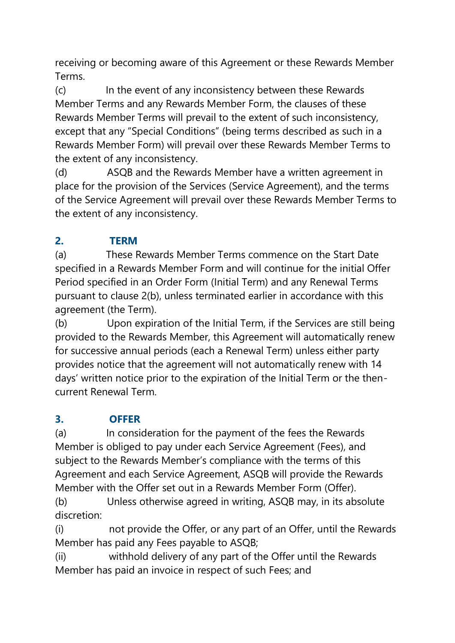receiving or becoming aware of this Agreement or these Rewards Member Terms.

(c) In the event of any inconsistency between these Rewards Member Terms and any Rewards Member Form, the clauses of these Rewards Member Terms will prevail to the extent of such inconsistency, except that any "Special Conditions" (being terms described as such in a Rewards Member Form) will prevail over these Rewards Member Terms to the extent of any inconsistency.

(d) ASQB and the Rewards Member have a written agreement in place for the provision of the Services (Service Agreement), and the terms of the Service Agreement will prevail over these Rewards Member Terms to the extent of any inconsistency.

# **2. TERM**

(a) These Rewards Member Terms commence on the Start Date specified in a Rewards Member Form and will continue for the initial Offer Period specified in an Order Form (Initial Term) and any Renewal Terms pursuant to clause 2(b), unless terminated earlier in accordance with this agreement (the Term).

(b) Upon expiration of the Initial Term, if the Services are still being provided to the Rewards Member, this Agreement will automatically renew for successive annual periods (each a Renewal Term) unless either party provides notice that the agreement will not automatically renew with 14 days' written notice prior to the expiration of the Initial Term or the thencurrent Renewal Term.

## **3. OFFER**

(a) In consideration for the payment of the fees the Rewards Member is obliged to pay under each Service Agreement (Fees), and subject to the Rewards Member's compliance with the terms of this Agreement and each Service Agreement, ASQB will provide the Rewards Member with the Offer set out in a Rewards Member Form (Offer).

(b) Unless otherwise agreed in writing, ASQB may, in its absolute discretion:

(i) not provide the Offer, or any part of an Offer, until the Rewards Member has paid any Fees payable to ASQB;

(ii) withhold delivery of any part of the Offer until the Rewards Member has paid an invoice in respect of such Fees; and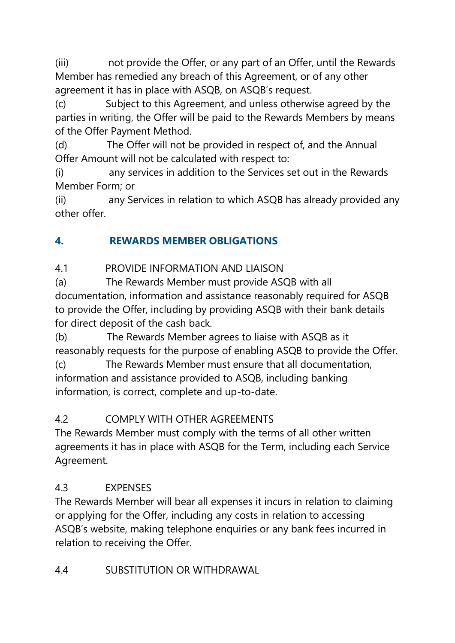(iii) not provide the Offer, or any part of an Offer, until the Rewards Member has remedied any breach of this Agreement, or of any other agreement it has in place with ASQB, on ASQB's request.

(c) Subject to this Agreement, and unless otherwise agreed by the parties in writing, the Offer will be paid to the Rewards Members by means of the Offer Payment Method.

(d) The Offer will not be provided in respect of, and the Annual Offer Amount will not be calculated with respect to:

(i) any services in addition to the Services set out in the Rewards Member Form; or

(ii) any Services in relation to which ASQB has already provided any other offer.

## **4. REWARDS MEMBER OBLIGATIONS**

4.1 PROVIDE INFORMATION AND LIAISON

(a) The Rewards Member must provide ASQB with all documentation, information and assistance reasonably required for ASQB to provide the Offer, including by providing ASQB with their bank details for direct deposit of the cash back.

(b) The Rewards Member agrees to liaise with ASQB as it reasonably requests for the purpose of enabling ASQB to provide the Offer. (c) The Rewards Member must ensure that all documentation, information and assistance provided to ASQB, including banking information, is correct, complete and up-to-date.

## 4.2 COMPLY WITH OTHER AGREEMENTS

The Rewards Member must comply with the terms of all other written agreements it has in place with ASQB for the Term, including each Service Agreement.

## 4.3 EXPENSES

The Rewards Member will bear all expenses it incurs in relation to claiming or applying for the Offer, including any costs in relation to accessing ASQB's website, making telephone enquiries or any bank fees incurred in relation to receiving the Offer.

### 4.4 SUBSTITUTION OR WITHDRAWAL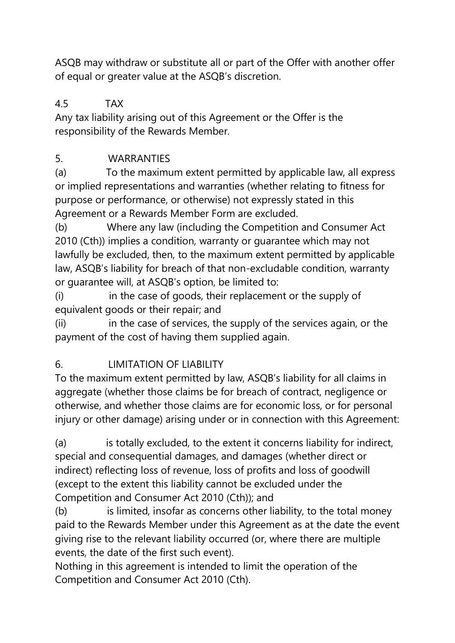ASQB may withdraw or substitute all or part of the Offer with another offer of equal or greater value at the ASQB's discretion.

## 4.5 TAX

Any tax liability arising out of this Agreement or the Offer is the responsibility of the Rewards Member.

## 5. WARRANTIES

(a) To the maximum extent permitted by applicable law, all express or implied representations and warranties (whether relating to fitness for purpose or performance, or otherwise) not expressly stated in this Agreement or a Rewards Member Form are excluded.

(b) Where any law (including the Competition and Consumer Act 2010 (Cth)) implies a condition, warranty or guarantee which may not lawfully be excluded, then, to the maximum extent permitted by applicable law, ASQB's liability for breach of that non-excludable condition, warranty or guarantee will, at ASQB's option, be limited to:

(i) in the case of goods, their replacement or the supply of equivalent goods or their repair; and

(ii) in the case of services, the supply of the services again, or the payment of the cost of having them supplied again.

## 6. LIMITATION OF LIABILITY

To the maximum extent permitted by law, ASQB's liability for all claims in aggregate (whether those claims be for breach of contract, negligence or otherwise, and whether those claims are for economic loss, or for personal injury or other damage) arising under or in connection with this Agreement:

(a) is totally excluded, to the extent it concerns liability for indirect, special and consequential damages, and damages (whether direct or indirect) reflecting loss of revenue, loss of profits and loss of goodwill (except to the extent this liability cannot be excluded under the Competition and Consumer Act 2010 (Cth)); and

(b) is limited, insofar as concerns other liability, to the total money paid to the Rewards Member under this Agreement as at the date the event giving rise to the relevant liability occurred (or, where there are multiple events, the date of the first such event).

Nothing in this agreement is intended to limit the operation of the Competition and Consumer Act 2010 (Cth).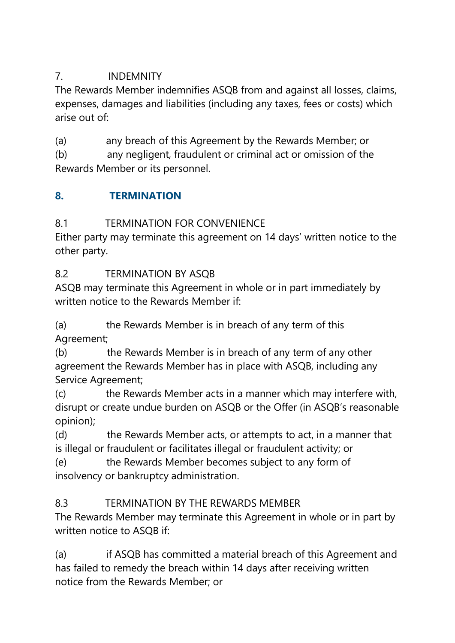### 7. INDEMNITY

The Rewards Member indemnifies ASQB from and against all losses, claims, expenses, damages and liabilities (including any taxes, fees or costs) which arise out of:

(a) any breach of this Agreement by the Rewards Member; or

(b) any negligent, fraudulent or criminal act or omission of the Rewards Member or its personnel.

## **8. TERMINATION**

## 8.1 TERMINATION FOR CONVENIENCE

Either party may terminate this agreement on 14 days' written notice to the other party.

## 8.2 TERMINATION BY ASQB

ASQB may terminate this Agreement in whole or in part immediately by written notice to the Rewards Member if:

(a) the Rewards Member is in breach of any term of this Agreement;

(b) the Rewards Member is in breach of any term of any other agreement the Rewards Member has in place with ASQB, including any Service Agreement;

(c) the Rewards Member acts in a manner which may interfere with, disrupt or create undue burden on ASQB or the Offer (in ASQB's reasonable opinion);

(d) the Rewards Member acts, or attempts to act, in a manner that is illegal or fraudulent or facilitates illegal or fraudulent activity; or

(e) the Rewards Member becomes subject to any form of insolvency or bankruptcy administration.

# 8.3 TERMINATION BY THE REWARDS MEMBER

The Rewards Member may terminate this Agreement in whole or in part by written notice to ASOB if:

(a) if ASQB has committed a material breach of this Agreement and has failed to remedy the breach within 14 days after receiving written notice from the Rewards Member; or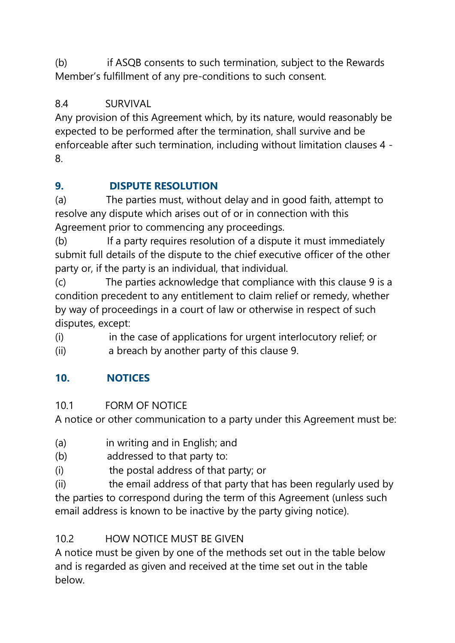(b) if ASQB consents to such termination, subject to the Rewards Member's fulfillment of any pre-conditions to such consent.

## 8.4 SURVIVAL

Any provision of this Agreement which, by its nature, would reasonably be expected to be performed after the termination, shall survive and be enforceable after such termination, including without limitation clauses 4 - 8.

# **9. DISPUTE RESOLUTION**

(a) The parties must, without delay and in good faith, attempt to resolve any dispute which arises out of or in connection with this Agreement prior to commencing any proceedings.

(b) If a party requires resolution of a dispute it must immediately submit full details of the dispute to the chief executive officer of the other party or, if the party is an individual, that individual.

(c) The parties acknowledge that compliance with this clause 9 is a condition precedent to any entitlement to claim relief or remedy, whether by way of proceedings in a court of law or otherwise in respect of such disputes, except:

(i) in the case of applications for urgent interlocutory relief; or

(ii) a breach by another party of this clause 9.

# **10. NOTICES**

## 10.1 FORM OF NOTICE

A notice or other communication to a party under this Agreement must be:

- (a) in writing and in English; and
- (b) addressed to that party to:
- (i) the postal address of that party; or

(ii) the email address of that party that has been regularly used by the parties to correspond during the term of this Agreement (unless such email address is known to be inactive by the party giving notice).

# 10.2 HOW NOTICE MUST BE GIVEN

A notice must be given by one of the methods set out in the table below and is regarded as given and received at the time set out in the table below.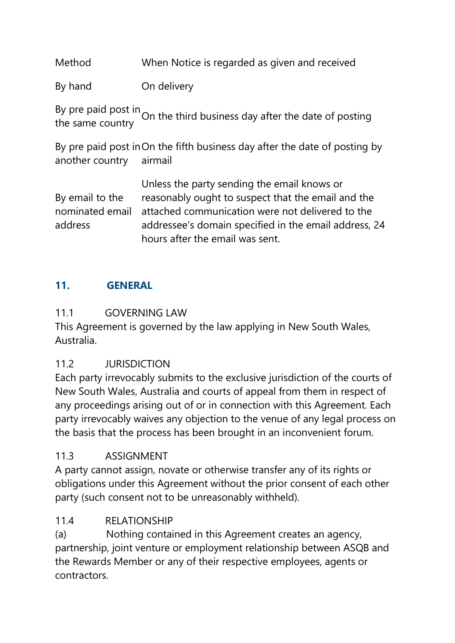Method When Notice is regarded as given and received

By hand On delivery

By pre paid post in by pre paid post in On the third business day after the date of posting<br>the same country

By pre paid post in On the fifth business day after the date of posting by another country airmail

By email to the nominated email address Unless the party sending the email knows or reasonably ought to suspect that the email and the attached communication were not delivered to the addressee's domain specified in the email address, 24 hours after the email was sent.

### **11. GENERAL**

### 11.1 GOVERNING LAW

This Agreement is governed by the law applying in New South Wales, Australia.

### 11.2 JURISDICTION

Each party irrevocably submits to the exclusive jurisdiction of the courts of New South Wales, Australia and courts of appeal from them in respect of any proceedings arising out of or in connection with this Agreement. Each party irrevocably waives any objection to the venue of any legal process on the basis that the process has been brought in an inconvenient forum.

### 11.3 ASSIGNMENT

A party cannot assign, novate or otherwise transfer any of its rights or obligations under this Agreement without the prior consent of each other party (such consent not to be unreasonably withheld).

### 11.4 RELATIONSHIP

(a) Nothing contained in this Agreement creates an agency, partnership, joint venture or employment relationship between ASQB and the Rewards Member or any of their respective employees, agents or contractors.